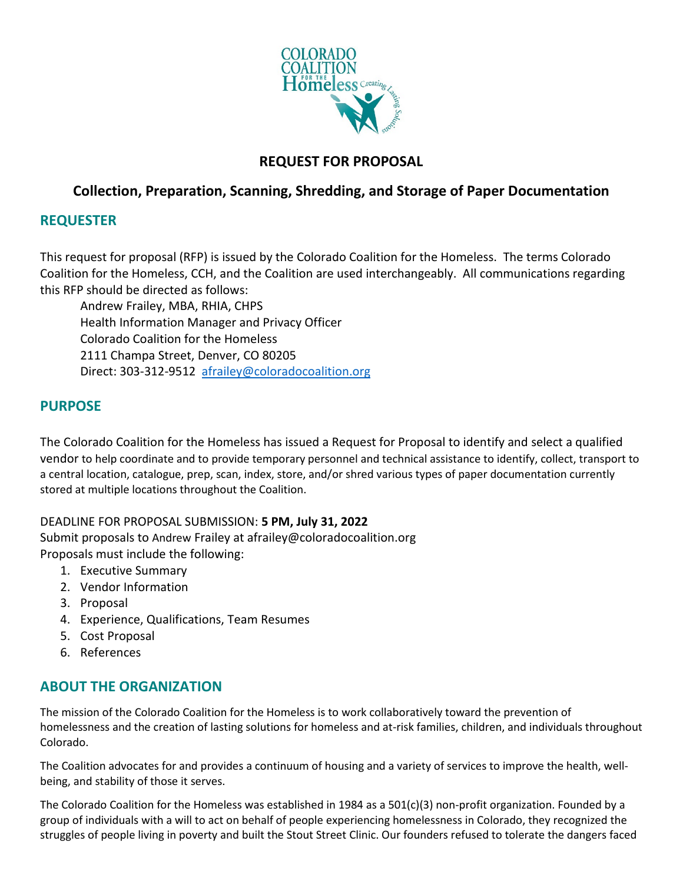

## **REQUEST FOR PROPOSAL**

## **Collection, Preparation, Scanning, Shredding, and Storage of Paper Documentation**

### **REQUESTER**

This request for proposal (RFP) is issued by the Colorado Coalition for the Homeless. The terms Colorado Coalition for the Homeless, CCH, and the Coalition are used interchangeably. All communications regarding this RFP should be directed as follows:

Andrew Frailey, MBA, RHIA, CHPS Health Information Manager and Privacy Officer Colorado Coalition for the Homeless 2111 Champa Street, Denver, CO 80205 Direct: 303-312-9512 [afrailey@coloradocoalition.org](mailto:mdabernethy@coloradocoalition.org)

### **PURPOSE**

The Colorado Coalition for the Homeless has issued a Request for Proposal to identify and select a qualified vendor to help coordinate and to provide temporary personnel and technical assistance to identify, collect, transport to a central location, catalogue, prep, scan, index, store, and/or shred various types of paper documentation currently stored at multiple locations throughout the Coalition.

#### DEADLINE FOR PROPOSAL SUBMISSION: **5 PM, July 31, 2022**

Submit proposals to Andrew Frailey at afrailey@coloradocoalition.org Proposals must include the following:

- 1. Executive Summary
- 2. Vendor Information
- 3. Proposal
- 4. Experience, Qualifications, Team Resumes
- 5. Cost Proposal
- 6. References

## **ABOUT THE ORGANIZATION**

The mission of the Colorado Coalition for the Homeless is to work collaboratively toward the prevention of homelessness and the creation of lasting solutions for homeless and at-risk families, children, and individuals throughout Colorado.

The Coalition advocates for and provides a continuum of housing and a variety of services to improve the health, wellbeing, and stability of those it serves.

The Colorado Coalition for the Homeless was established in 1984 as a  $501(c)(3)$  non-profit organization. Founded by a group of individuals with a will to act on behalf of people experiencing homelessness in Colorado, they recognized the struggles of people living in poverty and built the Stout Street Clinic. Our founders refused to tolerate the dangers faced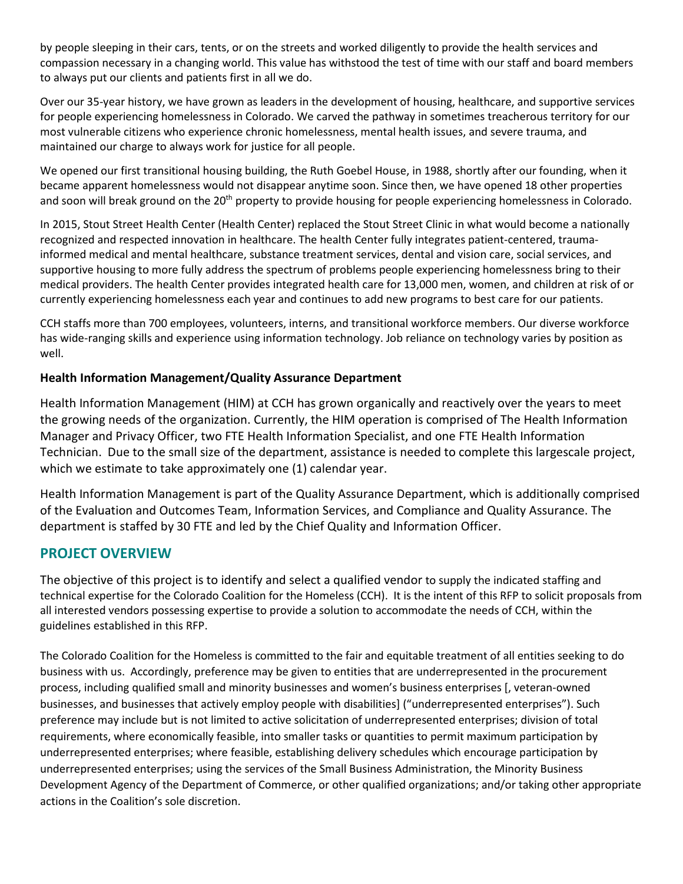by people sleeping in their cars, tents, or on the streets and worked diligently to provide the health services and compassion necessary in a changing world. This value has withstood the test of time with our staff and board members to always put our clients and patients first in all we do.

Over our 35-year history, we have grown as leaders in the development of housing, healthcare, and supportive services for people experiencing homelessness in Colorado. We carved the pathway in sometimes treacherous territory for our most vulnerable citizens who experience chronic homelessness, mental health issues, and severe trauma, and maintained our charge to always work for justice for all people.

We opened our first transitional housing building, the Ruth Goebel House, in 1988, shortly after our founding, when it became apparent homelessness would not disappear anytime soon. Since then, we have opened 18 other properties and soon will break ground on the 20<sup>th</sup> property to provide housing for people experiencing homelessness in Colorado.

In 2015, Stout Street Health Center (Health Center) replaced the Stout Street Clinic in what would become a nationally recognized and respected innovation in healthcare. The health Center fully integrates patient-centered, traumainformed medical and mental healthcare, substance treatment services, dental and vision care, social services, and supportive housing to more fully address the spectrum of problems people experiencing homelessness bring to their medical providers. The health Center provides integrated health care for 13,000 men, women, and children at risk of or currently experiencing homelessness each year and continues to add new programs to best care for our patients.

CCH staffs more than 700 employees, volunteers, interns, and transitional workforce members. Our diverse workforce has wide-ranging skills and experience using information technology. Job reliance on technology varies by position as well.

#### **Health Information Management/Quality Assurance Department**

Health Information Management (HIM) at CCH has grown organically and reactively over the years to meet the growing needs of the organization. Currently, the HIM operation is comprised of The Health Information Manager and Privacy Officer, two FTE Health Information Specialist, and one FTE Health Information Technician. Due to the small size of the department, assistance is needed to complete this largescale project, which we estimate to take approximately one (1) calendar year.

Health Information Management is part of the Quality Assurance Department, which is additionally comprised of the Evaluation and Outcomes Team, Information Services, and Compliance and Quality Assurance. The department is staffed by 30 FTE and led by the Chief Quality and Information Officer.

### **PROJECT OVERVIEW**

The objective of this project is to identify and select a qualified vendor to supply the indicated staffing and technical expertise for the Colorado Coalition for the Homeless (CCH). It is the intent of this RFP to solicit proposals from all interested vendors possessing expertise to provide a solution to accommodate the needs of CCH, within the guidelines established in this RFP.

The Colorado Coalition for the Homeless is committed to the fair and equitable treatment of all entities seeking to do business with us. Accordingly, preference may be given to entities that are underrepresented in the procurement process, including qualified small and minority businesses and women's business enterprises [, veteran-owned businesses, and businesses that actively employ people with disabilities] ("underrepresented enterprises"). Such preference may include but is not limited to active solicitation of underrepresented enterprises; division of total requirements, where economically feasible, into smaller tasks or quantities to permit maximum participation by underrepresented enterprises; where feasible, establishing delivery schedules which encourage participation by underrepresented enterprises; using the services of the Small Business Administration, the Minority Business Development Agency of the Department of Commerce, or other qualified organizations; and/or taking other appropriate actions in the Coalition's sole discretion.